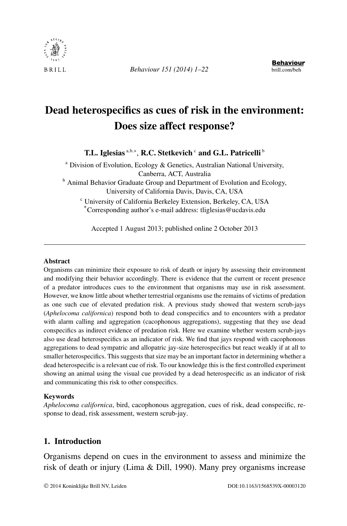

*Behaviour 151 (2014) 1–22* brill.com/beh

# **Dead heterospecifics as cues of risk in the environment: Does size affect response?**

**T.L. Iglesias** <sup>a</sup>*,*b*,*<sup>∗</sup> , **R.C. Stetkevich** <sup>c</sup> **and G.L. Patricelli** <sup>b</sup>

<sup>a</sup> Division of Evolution, Ecology & Genetics, Australian National University, Canberra, ACT, Australia

<sup>b</sup> Animal Behavior Graduate Group and Department of Evolution and Ecology, University of California Davis, Davis, CA, USA

<sup>c</sup> University of California Berkeley Extension, Berkeley, CA, USA \*Corresponding author's e-mail address: tliglesias@ucdavis.edu

Accepted 1 August 2013; published online 2 October 2013

#### **Abstract**

Organisms can minimize their exposure to risk of death or injury by assessing their environment and modifying their behavior accordingly. There is evidence that the current or recent presence of a predator introduces cues to the environment that organisms may use in risk assessment. However, we know little about whether terrestrial organisms use the remains of victims of predation as one such cue of elevated predation risk. A previous study showed that western scrub-jays (*Aphelocoma californica*) respond both to dead conspecifics and to encounters with a predator with alarm calling and aggregation (cacophonous aggregations), suggesting that they use dead conspecifics as indirect evidence of predation risk. Here we examine whether western scrub-jays also use dead heterospecifics as an indicator of risk. We find that jays respond with cacophonous aggregations to dead sympatric and allopatric jay-size heterospecifics but react weakly if at all to smaller heterospecifics. This suggests that size may be an important factor in determining whether a dead heterospecific is a relevant cue of risk. To our knowledge this is the first controlled experiment showing an animal using the visual cue provided by a dead heterospecific as an indicator of risk and communicating this risk to other conspecifics.

#### **Keywords**

*Aphelocoma californica*, bird, cacophonous aggregation, cues of risk, dead conspecific, response to dead, risk assessment, western scrub-jay.

# **1. Introduction**

Organisms depend on cues in the environment to assess and minimize the risk of death or injury (Lima & Dill, 1990). Many prey organisms increase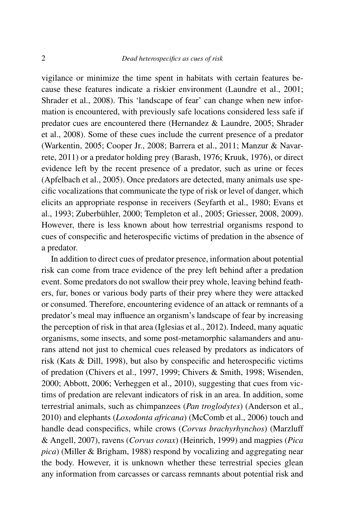vigilance or minimize the time spent in habitats with certain features because these features indicate a riskier environment (Laundre et al., 2001; Shrader et al., 2008). This 'landscape of fear' can change when new information is encountered, with previously safe locations considered less safe if predator cues are encountered there (Hernandez & Laundre, 2005; Shrader et al., 2008). Some of these cues include the current presence of a predator (Warkentin, 2005; Cooper Jr., 2008; Barrera et al., 2011; Manzur & Navarrete, 2011) or a predator holding prey (Barash, 1976; Kruuk, 1976), or direct evidence left by the recent presence of a predator, such as urine or feces (Apfelbach et al., 2005). Once predators are detected, many animals use specific vocalizations that communicate the type of risk or level of danger, which elicits an appropriate response in receivers (Seyfarth et al., 1980; Evans et al., 1993; Zuberbühler, 2000; Templeton et al., 2005; Griesser, 2008, 2009). However, there is less known about how terrestrial organisms respond to cues of conspecific and heterospecific victims of predation in the absence of a predator.

In addition to direct cues of predator presence, information about potential risk can come from trace evidence of the prey left behind after a predation event. Some predators do not swallow their prey whole, leaving behind feathers, fur, bones or various body parts of their prey where they were attacked or consumed. Therefore, encountering evidence of an attack or remnants of a predator's meal may influence an organism's landscape of fear by increasing the perception of risk in that area (Iglesias et al., 2012). Indeed, many aquatic organisms, some insects, and some post-metamorphic salamanders and anurans attend not just to chemical cues released by predators as indicators of risk (Kats & Dill, 1998), but also by conspecific and heterospecific victims of predation (Chivers et al., 1997, 1999; Chivers & Smith, 1998; Wisenden, 2000; Abbott, 2006; Verheggen et al., 2010), suggesting that cues from victims of predation are relevant indicators of risk in an area. In addition, some terrestrial animals, such as chimpanzees (*Pan troglodytes*) (Anderson et al., 2010) and elephants (*Loxodonta africana*) (McComb et al., 2006) touch and handle dead conspecifics, while crows (*Corvus brachyrhynchos*) (Marzluff & Angell, 2007), ravens (*Corvus corax*) (Heinrich, 1999) and magpies (*Pica pica*) (Miller & Brigham, 1988) respond by vocalizing and aggregating near the body. However, it is unknown whether these terrestrial species glean any information from carcasses or carcass remnants about potential risk and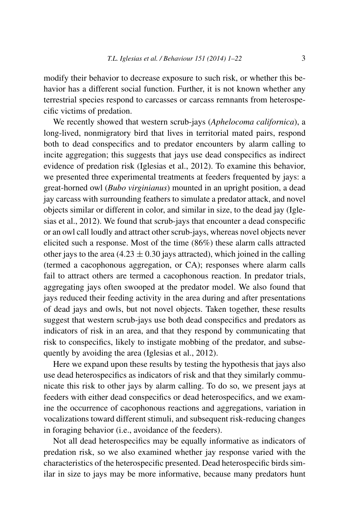modify their behavior to decrease exposure to such risk, or whether this behavior has a different social function. Further, it is not known whether any terrestrial species respond to carcasses or carcass remnants from heterospecific victims of predation.

We recently showed that western scrub-jays (*Aphelocoma californica*), a long-lived, nonmigratory bird that lives in territorial mated pairs, respond both to dead conspecifics and to predator encounters by alarm calling to incite aggregation; this suggests that jays use dead conspecifics as indirect evidence of predation risk (Iglesias et al., 2012). To examine this behavior, we presented three experimental treatments at feeders frequented by jays: a great-horned owl (*Bubo virginianus*) mounted in an upright position, a dead jay carcass with surrounding feathers to simulate a predator attack, and novel objects similar or different in color, and similar in size, to the dead jay (Iglesias et al., 2012). We found that scrub-jays that encounter a dead conspecific or an owl call loudly and attract other scrub-jays, whereas novel objects never elicited such a response. Most of the time (86%) these alarm calls attracted other jays to the area  $(4.23 \pm 0.30)$  jays attracted), which joined in the calling (termed a cacophonous aggregation, or CA); responses where alarm calls fail to attract others are termed a cacophonous reaction. In predator trials, aggregating jays often swooped at the predator model. We also found that jays reduced their feeding activity in the area during and after presentations of dead jays and owls, but not novel objects. Taken together, these results suggest that western scrub-jays use both dead conspecifics and predators as indicators of risk in an area, and that they respond by communicating that risk to conspecifics, likely to instigate mobbing of the predator, and subsequently by avoiding the area (Iglesias et al., 2012).

Here we expand upon these results by testing the hypothesis that jays also use dead heterospecifics as indicators of risk and that they similarly communicate this risk to other jays by alarm calling. To do so, we present jays at feeders with either dead conspecifics or dead heterospecifics, and we examine the occurrence of cacophonous reactions and aggregations, variation in vocalizations toward different stimuli, and subsequent risk-reducing changes in foraging behavior (i.e., avoidance of the feeders).

Not all dead heterospecifics may be equally informative as indicators of predation risk, so we also examined whether jay response varied with the characteristics of the heterospecific presented. Dead heterospecific birds similar in size to jays may be more informative, because many predators hunt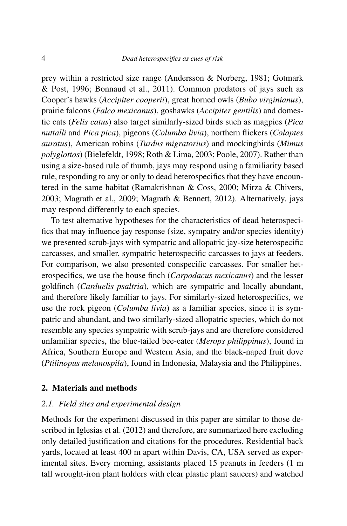prey within a restricted size range (Andersson & Norberg, 1981; Gotmark & Post, 1996; Bonnaud et al., 2011). Common predators of jays such as Cooper's hawks (*Accipiter cooperii*), great horned owls (*Bubo virginianus*), prairie falcons (*Falco mexicanus*), goshawks (*Accipiter gentilis*) and domestic cats (*Felis catus*) also target similarly-sized birds such as magpies (*Pica nuttalli* and *Pica pica*), pigeons (*Columba livia*), northern flickers (*Colaptes auratus*), American robins (*Turdus migratorius*) and mockingbirds (*Mimus polyglottos*) (Bielefeldt, 1998; Roth & Lima, 2003; Poole, 2007). Rather than using a size-based rule of thumb, jays may respond using a familiarity based rule, responding to any or only to dead heterospecifics that they have encountered in the same habitat (Ramakrishnan & Coss, 2000; Mirza & Chivers, 2003; Magrath et al., 2009; Magrath & Bennett, 2012). Alternatively, jays may respond differently to each species.

To test alternative hypotheses for the characteristics of dead heterospecifics that may influence jay response (size, sympatry and/or species identity) we presented scrub-jays with sympatric and allopatric jay-size heterospecific carcasses, and smaller, sympatric heterospecific carcasses to jays at feeders. For comparison, we also presented conspecific carcasses. For smaller heterospecifics, we use the house finch (*Carpodacus mexicanus*) and the lesser goldfinch (*Carduelis psaltria*), which are sympatric and locally abundant, and therefore likely familiar to jays. For similarly-sized heterospecifics, we use the rock pigeon (*Columba livia*) as a familiar species, since it is sympatric and abundant, and two similarly-sized allopatric species, which do not resemble any species sympatric with scrub-jays and are therefore considered unfamiliar species, the blue-tailed bee-eater (*Merops philippinus*), found in Africa, Southern Europe and Western Asia, and the black-naped fruit dove (*Ptilinopus melanospila*), found in Indonesia, Malaysia and the Philippines.

# **2. Materials and methods**

#### *2.1. Field sites and experimental design*

Methods for the experiment discussed in this paper are similar to those described in Iglesias et al. (2012) and therefore, are summarized here excluding only detailed justification and citations for the procedures. Residential back yards, located at least 400 m apart within Davis, CA, USA served as experimental sites. Every morning, assistants placed 15 peanuts in feeders (1 m tall wrought-iron plant holders with clear plastic plant saucers) and watched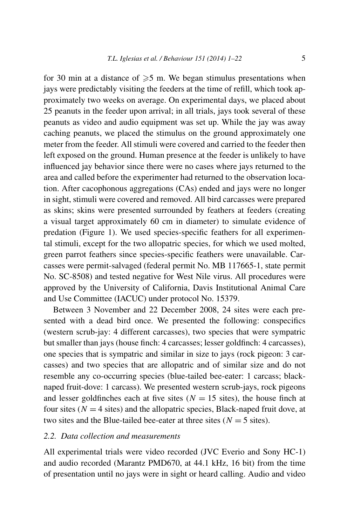for 30 min at a distance of  $\geq 5$  m. We began stimulus presentations when jays were predictably visiting the feeders at the time of refill, which took approximately two weeks on average. On experimental days, we placed about 25 peanuts in the feeder upon arrival; in all trials, jays took several of these peanuts as video and audio equipment was set up. While the jay was away caching peanuts, we placed the stimulus on the ground approximately one meter from the feeder. All stimuli were covered and carried to the feeder then left exposed on the ground. Human presence at the feeder is unlikely to have influenced jay behavior since there were no cases where jays returned to the area and called before the experimenter had returned to the observation location. After cacophonous aggregations (CAs) ended and jays were no longer in sight, stimuli were covered and removed. All bird carcasses were prepared as skins; skins were presented surrounded by feathers at feeders (creating a visual target approximately 60 cm in diameter) to simulate evidence of predation (Figure 1). We used species-specific feathers for all experimental stimuli, except for the two allopatric species, for which we used molted, green parrot feathers since species-specific feathers were unavailable. Carcasses were permit-salvaged (federal permit No. MB 117665-1, state permit No. SC-8508) and tested negative for West Nile virus. All procedures were approved by the University of California, Davis Institutional Animal Care and Use Committee (IACUC) under protocol No. 15379.

Between 3 November and 22 December 2008, 24 sites were each presented with a dead bird once. We presented the following: conspecifics (western scrub-jay: 4 different carcasses), two species that were sympatric but smaller than jays (house finch: 4 carcasses; lesser goldfinch: 4 carcasses), one species that is sympatric and similar in size to jays (rock pigeon: 3 carcasses) and two species that are allopatric and of similar size and do not resemble any co-occurring species (blue-tailed bee-eater: 1 carcass; blacknaped fruit-dove: 1 carcass). We presented western scrub-jays, rock pigeons and lesser goldfinches each at five sites ( $N = 15$  sites), the house finch at four sites  $(N = 4$  sites) and the allopatric species, Black-naped fruit dove, at two sites and the Blue-tailed bee-eater at three sites  $(N = 5$  sites).

### *2.2. Data collection and measurements*

All experimental trials were video recorded (JVC Everio and Sony HC-1) and audio recorded (Marantz PMD670, at 44.1 kHz, 16 bit) from the time of presentation until no jays were in sight or heard calling. Audio and video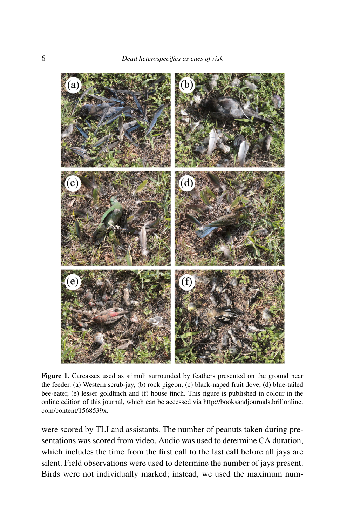

**Figure 1.** Carcasses used as stimuli surrounded by feathers presented on the ground near the feeder. (a) Western scrub-jay, (b) rock pigeon, (c) black-naped fruit dove, (d) blue-tailed bee-eater, (e) lesser goldfinch and (f) house finch. This figure is published in colour in the online edition of this journal, which can be accessed via http://booksandjournals.brillonline. com/content/1568539x.

were scored by TLI and assistants. The number of peanuts taken during presentations was scored from video. Audio was used to determine CA duration, which includes the time from the first call to the last call before all jays are silent. Field observations were used to determine the number of jays present. Birds were not individually marked; instead, we used the maximum num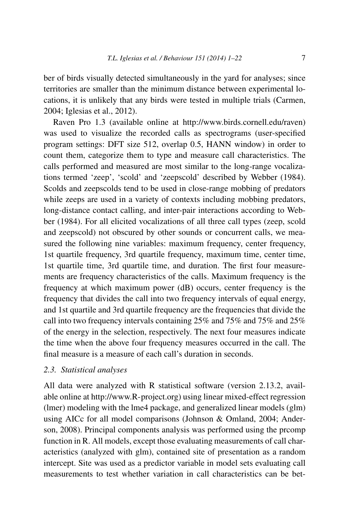ber of birds visually detected simultaneously in the yard for analyses; since territories are smaller than the minimum distance between experimental locations, it is unlikely that any birds were tested in multiple trials (Carmen, 2004; Iglesias et al., 2012).

Raven Pro 1.3 (available online at http://www.birds.cornell.edu/raven) was used to visualize the recorded calls as spectrograms (user-specified program settings: DFT size 512, overlap 0.5, HANN window) in order to count them, categorize them to type and measure call characteristics. The calls performed and measured are most similar to the long-range vocalizations termed 'zeep', 'scold' and 'zeepscold' described by Webber (1984). Scolds and zeepscolds tend to be used in close-range mobbing of predators while zeeps are used in a variety of contexts including mobbing predators, long-distance contact calling, and inter-pair interactions according to Webber (1984). For all elicited vocalizations of all three call types (zeep, scold and zeepscold) not obscured by other sounds or concurrent calls, we measured the following nine variables: maximum frequency, center frequency, 1st quartile frequency, 3rd quartile frequency, maximum time, center time, 1st quartile time, 3rd quartile time, and duration. The first four measurements are frequency characteristics of the calls. Maximum frequency is the frequency at which maximum power (dB) occurs, center frequency is the frequency that divides the call into two frequency intervals of equal energy, and 1st quartile and 3rd quartile frequency are the frequencies that divide the call into two frequency intervals containing 25% and 75% and 75% and 25% of the energy in the selection, respectively. The next four measures indicate the time when the above four frequency measures occurred in the call. The final measure is a measure of each call's duration in seconds.

#### *2.3. Statistical analyses*

All data were analyzed with R statistical software (version 2.13.2, available online at http://www.R-project.org) using linear mixed-effect regression (lmer) modeling with the lme4 package, and generalized linear models (glm) using AICc for all model comparisons (Johnson & Omland, 2004; Anderson, 2008). Principal components analysis was performed using the prcomp function in R. All models, except those evaluating measurements of call characteristics (analyzed with glm), contained site of presentation as a random intercept. Site was used as a predictor variable in model sets evaluating call measurements to test whether variation in call characteristics can be bet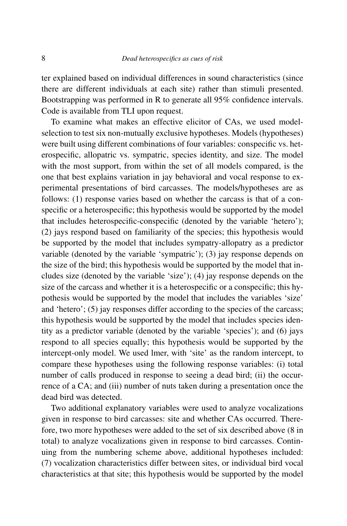ter explained based on individual differences in sound characteristics (since there are different individuals at each site) rather than stimuli presented. Bootstrapping was performed in R to generate all 95% confidence intervals. Code is available from TLI upon request.

To examine what makes an effective elicitor of CAs, we used modelselection to test six non-mutually exclusive hypotheses. Models (hypotheses) were built using different combinations of four variables: conspecific vs. heterospecific, allopatric vs. sympatric, species identity, and size. The model with the most support, from within the set of all models compared, is the one that best explains variation in jay behavioral and vocal response to experimental presentations of bird carcasses. The models/hypotheses are as follows: (1) response varies based on whether the carcass is that of a conspecific or a heterospecific; this hypothesis would be supported by the model that includes heterospecific-conspecific (denoted by the variable 'hetero'); (2) jays respond based on familiarity of the species; this hypothesis would be supported by the model that includes sympatry-allopatry as a predictor variable (denoted by the variable 'sympatric'); (3) jay response depends on the size of the bird; this hypothesis would be supported by the model that includes size (denoted by the variable 'size'); (4) jay response depends on the size of the carcass and whether it is a heterospecific or a conspecific; this hypothesis would be supported by the model that includes the variables 'size' and 'hetero'; (5) jay responses differ according to the species of the carcass; this hypothesis would be supported by the model that includes species identity as a predictor variable (denoted by the variable 'species'); and (6) jays respond to all species equally; this hypothesis would be supported by the intercept-only model. We used lmer, with 'site' as the random intercept, to compare these hypotheses using the following response variables: (i) total number of calls produced in response to seeing a dead bird; (ii) the occurrence of a CA; and (iii) number of nuts taken during a presentation once the dead bird was detected.

Two additional explanatory variables were used to analyze vocalizations given in response to bird carcasses: site and whether CAs occurred. Therefore, two more hypotheses were added to the set of six described above (8 in total) to analyze vocalizations given in response to bird carcasses. Continuing from the numbering scheme above, additional hypotheses included: (7) vocalization characteristics differ between sites, or individual bird vocal characteristics at that site; this hypothesis would be supported by the model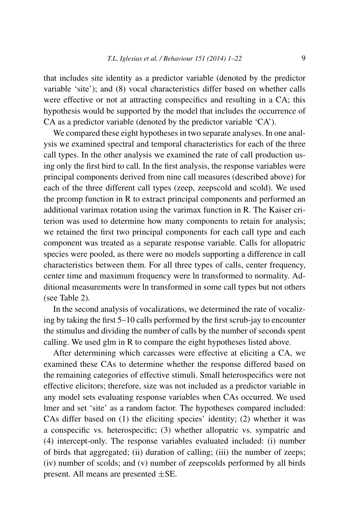that includes site identity as a predictor variable (denoted by the predictor variable 'site'); and (8) vocal characteristics differ based on whether calls were effective or not at attracting conspecifics and resulting in a CA; this hypothesis would be supported by the model that includes the occurrence of CA as a predictor variable (denoted by the predictor variable 'CA').

We compared these eight hypotheses in two separate analyses. In one analysis we examined spectral and temporal characteristics for each of the three call types. In the other analysis we examined the rate of call production using only the first bird to call. In the first analysis, the response variables were principal components derived from nine call measures (described above) for each of the three different call types (zeep, zeepscold and scold). We used the prcomp function in R to extract principal components and performed an additional varimax rotation using the varimax function in R. The Kaiser criterion was used to determine how many components to retain for analysis; we retained the first two principal components for each call type and each component was treated as a separate response variable. Calls for allopatric species were pooled, as there were no models supporting a difference in call characteristics between them. For all three types of calls, center frequency, center time and maximum frequency were ln transformed to normality. Additional measurements were ln transformed in some call types but not others (see Table 2).

In the second analysis of vocalizations, we determined the rate of vocalizing by taking the first 5–10 calls performed by the first scrub-jay to encounter the stimulus and dividing the number of calls by the number of seconds spent calling. We used glm in R to compare the eight hypotheses listed above.

After determining which carcasses were effective at eliciting a CA, we examined these CAs to determine whether the response differed based on the remaining categories of effective stimuli. Small heterospecifics were not effective elicitors; therefore, size was not included as a predictor variable in any model sets evaluating response variables when CAs occurred. We used lmer and set 'site' as a random factor. The hypotheses compared included: CAs differ based on (1) the eliciting species' identity; (2) whether it was a conspecific vs. heterospecific; (3) whether allopatric vs. sympatric and (4) intercept-only. The response variables evaluated included: (i) number of birds that aggregated; (ii) duration of calling; (iii) the number of zeeps; (iv) number of scolds; and (v) number of zeepscolds performed by all birds present. All means are presented ±SE.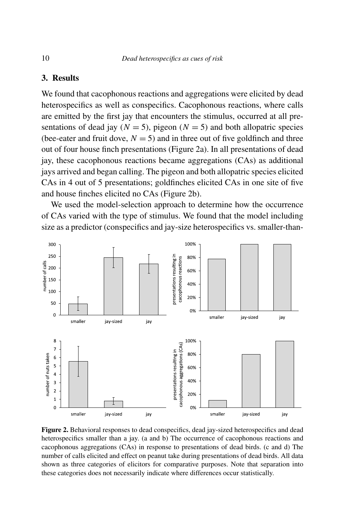# **3. Results**

We found that cacophonous reactions and aggregations were elicited by dead heterospecifics as well as conspecifics. Cacophonous reactions, where calls are emitted by the first jay that encounters the stimulus, occurred at all presentations of dead jay ( $N = 5$ ), pigeon ( $N = 5$ ) and both allopatric species (bee-eater and fruit dove,  $N = 5$ ) and in three out of five goldfinch and three out of four house finch presentations (Figure 2a). In all presentations of dead jay, these cacophonous reactions became aggregations (CAs) as additional jays arrived and began calling. The pigeon and both allopatric species elicited CAs in 4 out of 5 presentations; goldfinches elicited CAs in one site of five and house finches elicited no CAs (Figure 2b).

We used the model-selection approach to determine how the occurrence of CAs varied with the type of stimulus. We found that the model including size as a predictor (conspecifics and jay-size heterospecifics vs. smaller-than-



**Figure 2.** Behavioral responses to dead conspecifics, dead jay-sized heterospecifics and dead heterospecifics smaller than a jay. (a and b) The occurrence of cacophonous reactions and cacophonous aggregations (CAs) in response to presentations of dead birds. (c and d) The number of calls elicited and effect on peanut take during presentations of dead birds. All data shown as three categories of elicitors for comparative purposes. Note that separation into these categories does not necessarily indicate where differences occur statistically.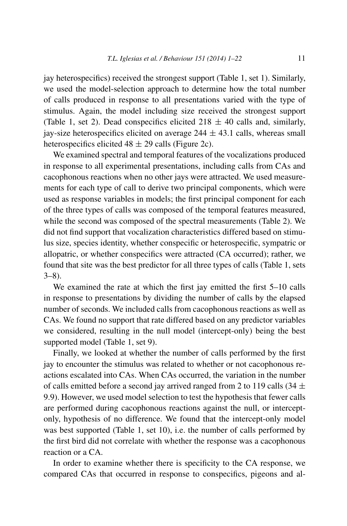jay heterospecifics) received the strongest support (Table 1, set 1). Similarly, we used the model-selection approach to determine how the total number of calls produced in response to all presentations varied with the type of stimulus. Again, the model including size received the strongest support (Table 1, set 2). Dead conspecifics elicited  $218 \pm 40$  calls and, similarly, jay-size heterospecifics elicited on average  $244 \pm 43.1$  calls, whereas small heterospecifics elicited  $48 \pm 29$  calls (Figure 2c).

We examined spectral and temporal features of the vocalizations produced in response to all experimental presentations, including calls from CAs and cacophonous reactions when no other jays were attracted. We used measurements for each type of call to derive two principal components, which were used as response variables in models; the first principal component for each of the three types of calls was composed of the temporal features measured, while the second was composed of the spectral measurements (Table 2). We did not find support that vocalization characteristics differed based on stimulus size, species identity, whether conspecific or heterospecific, sympatric or allopatric, or whether conspecifics were attracted (CA occurred); rather, we found that site was the best predictor for all three types of calls (Table 1, sets  $3-8$ ).

We examined the rate at which the first jay emitted the first 5–10 calls in response to presentations by dividing the number of calls by the elapsed number of seconds. We included calls from cacophonous reactions as well as CAs. We found no support that rate differed based on any predictor variables we considered, resulting in the null model (intercept-only) being the best supported model (Table 1, set 9).

Finally, we looked at whether the number of calls performed by the first jay to encounter the stimulus was related to whether or not cacophonous reactions escalated into CAs. When CAs occurred, the variation in the number of calls emitted before a second jay arrived ranged from 2 to 119 calls (34  $\pm$ ) 9.9). However, we used model selection to test the hypothesis that fewer calls are performed during cacophonous reactions against the null, or interceptonly, hypothesis of no difference. We found that the intercept-only model was best supported (Table 1, set 10), i.e. the number of calls performed by the first bird did not correlate with whether the response was a cacophonous reaction or a CA.

In order to examine whether there is specificity to the CA response, we compared CAs that occurred in response to conspecifics, pigeons and al-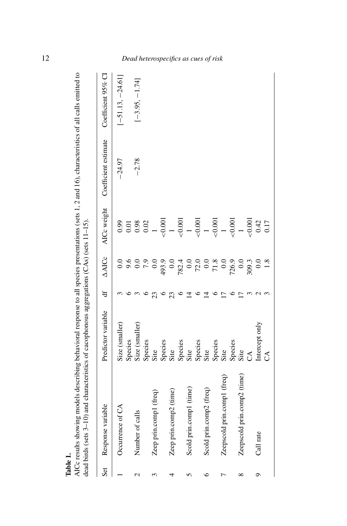| Table 1        | AICc results showing models describing behavioral response to all species presentations (sets 1, 2 and 16), characteristics of all calls emitted to<br>dead birds (sets 3–10) and characteristics of cacophonous aggregations (CAs) (sets $11-15$ ). |                           |   |                                                 |                |                      |                    |
|----------------|------------------------------------------------------------------------------------------------------------------------------------------------------------------------------------------------------------------------------------------------------|---------------------------|---|-------------------------------------------------|----------------|----------------------|--------------------|
| Set            | Response variable                                                                                                                                                                                                                                    | Predictor variable        | đ | <b>AAICc</b>                                    | AICc weight    | Coefficient estimate | Coefficient 95% CI |
|                | Occurrence of CA                                                                                                                                                                                                                                     | Size (smaller)            |   |                                                 | 0.99           | $-24.97$             | $[-51.13, -24.61]$ |
| 2              | Number of calls                                                                                                                                                                                                                                      | Size (smaller)<br>Species |   |                                                 | 0.98<br>0.01   | $-2.78$              | $[-3.95, -1.74]$   |
|                |                                                                                                                                                                                                                                                      | Species                   |   | 7.9                                             | 0.02           |                      |                    |
| 3              | Zeep prin.comp1 (freq)                                                                                                                                                                                                                               | Site                      |   | $\overline{0}$                                  | $\overline{a}$ |                      |                    |
|                |                                                                                                                                                                                                                                                      | Species                   |   | 493.9                                           | 0.001          |                      |                    |
| 4              | Zeep prin.comp2 (time)                                                                                                                                                                                                                               | Site                      |   |                                                 | $\overline{a}$ |                      |                    |
|                |                                                                                                                                                                                                                                                      | Species                   |   |                                                 | 0.001          |                      |                    |
| 5              | Scold prin.comp1 (time)                                                                                                                                                                                                                              | Site                      |   |                                                 | $\overline{a}$ |                      |                    |
|                |                                                                                                                                                                                                                                                      | Species                   |   |                                                 | 0.001          |                      |                    |
| $\circ$        | Scold prin.comp2 (freq)                                                                                                                                                                                                                              | Site                      |   | $0.0$ $0.0$ $0.0$ $0.0$ $0.0$ $0.0$ $0.0$ $0.0$ | $\overline{a}$ |                      |                    |
|                |                                                                                                                                                                                                                                                      | Species                   |   |                                                 | 0.001          |                      |                    |
| $\overline{ }$ | Zeepscold prin.comp1 (freq)                                                                                                                                                                                                                          | Site                      |   |                                                 | $\overline{a}$ |                      |                    |
|                |                                                                                                                                                                                                                                                      | Species                   |   | 726.9                                           | 0.001          |                      |                    |
| $\infty$       | Zeepscold prin.comp2 (time)                                                                                                                                                                                                                          | Site                      |   | 0.0                                             | $\overline{a}$ |                      |                    |
|                |                                                                                                                                                                                                                                                      |                           |   | 309.3                                           | 0.001          |                      |                    |
| 9              | Call rate                                                                                                                                                                                                                                            | Intercept only            |   | 0.0                                             | 0.42           |                      |                    |
|                |                                                                                                                                                                                                                                                      | Ś                         |   |                                                 | 0.17           |                      |                    |

staristics of all calls amitted to nes (21 ben 0 ,  $\ddot{\phantom{0}}$  $\ddot{\cdot}$ Ę comining hobornousl modole do Table 1.<br>AIC results showing

12 *Dead heterospecifics as cues of risk*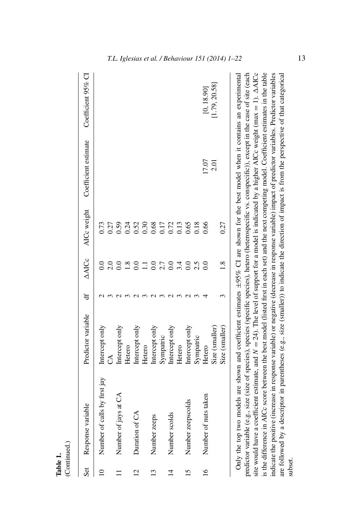|                 | Set Response variable                  |                                |                  |      | Predictor variable df AAICc AICc weight Coefficient estimate Coefficient 95% CI |               |
|-----------------|----------------------------------------|--------------------------------|------------------|------|---------------------------------------------------------------------------------|---------------|
| $\overline{a}$  | Number of calls by first jay           | Intercept only                 |                  | ).73 |                                                                                 |               |
|                 |                                        | ්                              |                  | 0.27 |                                                                                 |               |
| ゠               | Number of jays at CA                   | Intercept only                 |                  | .59  |                                                                                 |               |
|                 |                                        | Hetero                         |                  | 0.24 |                                                                                 |               |
| $\overline{C}$  | Duration of CA                         | Intercept only                 |                  | 0.52 |                                                                                 |               |
|                 |                                        | Hetero                         |                  | 0.30 |                                                                                 |               |
| $\overline{13}$ | Number zeeps                           | Intercept only                 | ္လ               | 0.68 |                                                                                 |               |
|                 |                                        | Sympatric                      | 77               | 7.17 |                                                                                 |               |
| $\overline{4}$  | Number scolds                          | Intercept only                 | $\overline{0}$ . | 0.72 |                                                                                 |               |
|                 |                                        | Hetero                         | 3.4              | 0.13 |                                                                                 |               |
| $\overline{5}$  | Number zeepscolds                      | Intercept only                 | $\overline{0}$ . | 0.65 |                                                                                 |               |
|                 |                                        | Sympatric                      | 2.5              | 0.18 |                                                                                 |               |
| $\overline{6}$  | Number of nuts taken                   | Hetero                         | $\overline{0}$ . | 0.66 | 17.07                                                                           | [0, 18.90]    |
|                 |                                        | Size (smaller)                 |                  |      | 2.01                                                                            | [1.79, 20.58] |
|                 |                                        | Size (smaller)                 | $\frac{8}{1}$    | 0.27 |                                                                                 |               |
|                 | $\ddot{\cdot}$<br>$\ddot{\phantom{a}}$ | はく こうしく ニュー・・・・ こうこう こくらい こうしゃ |                  |      |                                                                                 |               |

Only the top two models are shown and coefficient estimates  $\pm 95\%$  CI are shown for the best model when it contains an experimental is the difference in AICc score between the best model (listed first in each set) and the next competing model. Coefficient estimates in the table indicate the positive (increase in response variable) or negative (decrease in response variable) impact of predictor variables. Predictor variables are followed by a descriptor in parentheses (e.g., size (smaller)) to indicate the direction of impact is from the perspective of that categorical predictor variable (e.g., size (size of species), species (specific species), hetero (heterospecific vs. conspecific)), except in the case of site (each  $\pm$ 95% CI are shown for the best model when it contains an experimental predictor variable (e.g., size (size of species), species (specific species), hetero (heterospecific vs. conspecific)), except in the case of site (each *-*AICc is the difference in AICc score between the best model (listed first in each set) and the next competing model. Coefficient estimates in the table indicate the positive (increase in response variable) or negative (decrease in response variable) impact of predictor variables. Predictor variables are followed by a descriptor in parentheses (e.g., size (smaller)) to indicate the direction of impact is from the perspective of that categorical = 1).  $=$  24). The level of support for a model is indicated by a higher AICc weight (max Only the top two models are shown and coefficient estimates =*N* site would have a coefficient estimate, and subset.

(Continued.) (Continued.) **Table 1.**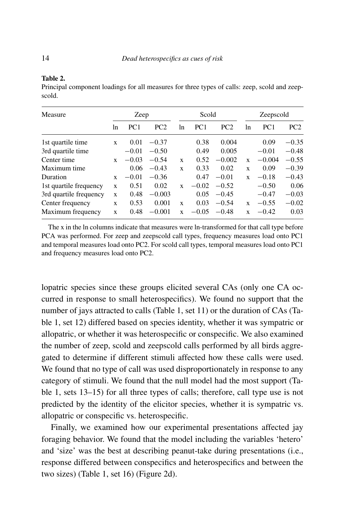#### **Table 2.**

Principal component loadings for all measures for three types of calls: zeep, scold and zeepscold.

| Measure                |    | Zeep    |          |    | Scold   |          |    | Zeepscold       |         |
|------------------------|----|---------|----------|----|---------|----------|----|-----------------|---------|
|                        | 1n | PC1     | PC2      | ln | PC1     | PC2      | ln | PC <sub>1</sub> | PC2     |
| 1st quartile time      | X  | 0.01    | $-0.37$  |    | 0.38    | 0.004    |    | 0.09            | $-0.35$ |
| 3rd quartile time      |    | $-0.01$ | $-0.50$  |    | 0.49    | 0.005    |    | $-0.01$         | $-0.48$ |
| Center time            | X  | $-0.03$ | $-0.54$  | X  | 0.52    | $-0.002$ | X  | $-0.004$        | $-0.55$ |
| Maximum time           |    | 0.06    | $-0.43$  | X  | 0.33    | 0.02     | X  | 0.09            | $-0.39$ |
| Duration               | X  | $-0.01$ | $-0.36$  |    | 0.47    | $-0.01$  | X  | $-0.18$         | $-0.43$ |
| 1st quartile frequency | X  | 0.51    | 0.02     | X  | $-0.02$ | $-0.52$  |    | $-0.50$         | 0.06    |
| 3rd quartile frequency | X  | 0.48    | $-0.003$ |    | 0.05    | $-0.45$  |    | $-0.47$         | $-0.03$ |
| Center frequency       | X  | 0.53    | 0.001    | X  | 0.03    | $-0.54$  | X  | $-0.55$         | $-0.02$ |
| Maximum frequency      | X  | 0.48    | $-0.001$ | X  | $-0.05$ | $-0.48$  | X  | $-0.42$         | 0.03    |

The x in the ln columns indicate that measures were ln-transformed for that call type before PCA was performed. For zeep and zeepscold call types, frequency measures load onto PC1 and temporal measures load onto PC2. For scold call types, temporal measures load onto PC1 and frequency measures load onto PC2.

lopatric species since these groups elicited several CAs (only one CA occurred in response to small heterospecifics). We found no support that the number of jays attracted to calls (Table 1, set 11) or the duration of CAs (Table 1, set 12) differed based on species identity, whether it was sympatric or allopatric, or whether it was heterospecific or conspecific. We also examined the number of zeep, scold and zeepscold calls performed by all birds aggregated to determine if different stimuli affected how these calls were used. We found that no type of call was used disproportionately in response to any category of stimuli. We found that the null model had the most support (Table 1, sets 13–15) for all three types of calls; therefore, call type use is not predicted by the identity of the elicitor species, whether it is sympatric vs. allopatric or conspecific vs. heterospecific.

Finally, we examined how our experimental presentations affected jay foraging behavior. We found that the model including the variables 'hetero' and 'size' was the best at describing peanut-take during presentations (i.e., response differed between conspecifics and heterospecifics and between the two sizes) (Table 1, set 16) (Figure 2d).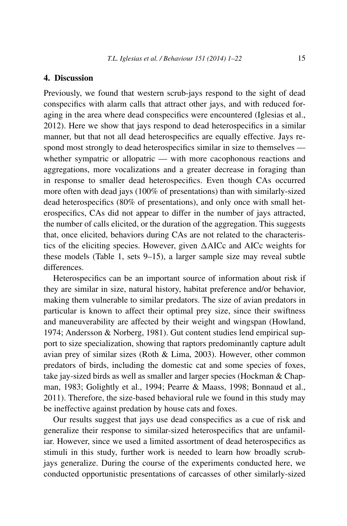# **4. Discussion**

Previously, we found that western scrub-jays respond to the sight of dead conspecifics with alarm calls that attract other jays, and with reduced foraging in the area where dead conspecifics were encountered (Iglesias et al., 2012). Here we show that jays respond to dead heterospecifics in a similar manner, but that not all dead heterospecifics are equally effective. Jays respond most strongly to dead heterospecifics similar in size to themselves whether sympatric or allopatric — with more cacophonous reactions and aggregations, more vocalizations and a greater decrease in foraging than in response to smaller dead heterospecifics. Even though CAs occurred more often with dead jays (100% of presentations) than with similarly-sized dead heterospecifics (80% of presentations), and only once with small heterospecifics, CAs did not appear to differ in the number of jays attracted, the number of calls elicited, or the duration of the aggregation. This suggests that, once elicited, behaviors during CAs are not related to the characteristics of the eliciting species. However, given  $\triangle$ AICc and AICc weights for these models (Table 1, sets 9–15), a larger sample size may reveal subtle differences.

Heterospecifics can be an important source of information about risk if they are similar in size, natural history, habitat preference and/or behavior, making them vulnerable to similar predators. The size of avian predators in particular is known to affect their optimal prey size, since their swiftness and maneuverability are affected by their weight and wingspan (Howland, 1974; Andersson & Norberg, 1981). Gut content studies lend empirical support to size specialization, showing that raptors predominantly capture adult avian prey of similar sizes (Roth & Lima, 2003). However, other common predators of birds, including the domestic cat and some species of foxes, take jay-sized birds as well as smaller and larger species (Hockman & Chapman, 1983; Golightly et al., 1994; Pearre & Maass, 1998; Bonnaud et al., 2011). Therefore, the size-based behavioral rule we found in this study may be ineffective against predation by house cats and foxes.

Our results suggest that jays use dead conspecifics as a cue of risk and generalize their response to similar-sized heterospecifics that are unfamiliar. However, since we used a limited assortment of dead heterospecifics as stimuli in this study, further work is needed to learn how broadly scrubjays generalize. During the course of the experiments conducted here, we conducted opportunistic presentations of carcasses of other similarly-sized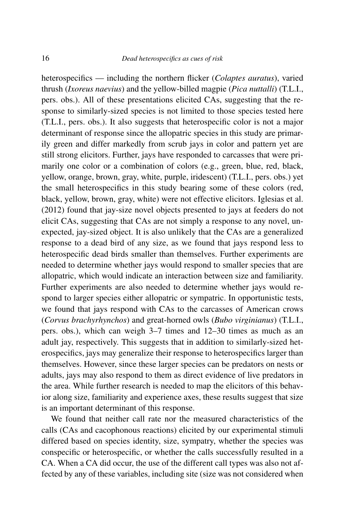heterospecifics — including the northern flicker (*Colaptes auratus*), varied thrush (*Ixoreus naevius*) and the yellow-billed magpie (*Pica nuttalli*) (T.L.I., pers. obs.). All of these presentations elicited CAs, suggesting that the response to similarly-sized species is not limited to those species tested here (T.L.I., pers. obs.). It also suggests that heterospecific color is not a major determinant of response since the allopatric species in this study are primarily green and differ markedly from scrub jays in color and pattern yet are still strong elicitors. Further, jays have responded to carcasses that were primarily one color or a combination of colors (e.g., green, blue, red, black, yellow, orange, brown, gray, white, purple, iridescent) (T.L.I., pers. obs.) yet the small heterospecifics in this study bearing some of these colors (red, black, yellow, brown, gray, white) were not effective elicitors. Iglesias et al. (2012) found that jay-size novel objects presented to jays at feeders do not elicit CAs, suggesting that CAs are not simply a response to any novel, unexpected, jay-sized object. It is also unlikely that the CAs are a generalized response to a dead bird of any size, as we found that jays respond less to heterospecific dead birds smaller than themselves. Further experiments are needed to determine whether jays would respond to smaller species that are allopatric, which would indicate an interaction between size and familiarity. Further experiments are also needed to determine whether jays would respond to larger species either allopatric or sympatric. In opportunistic tests, we found that jays respond with CAs to the carcasses of American crows (*Corvus brachyrhynchos*) and great-horned owls (*Bubo virginianus*) (T.L.I., pers. obs.), which can weigh 3–7 times and 12–30 times as much as an adult jay, respectively. This suggests that in addition to similarly-sized heterospecifics, jays may generalize their response to heterospecifics larger than themselves. However, since these larger species can be predators on nests or adults, jays may also respond to them as direct evidence of live predators in the area. While further research is needed to map the elicitors of this behavior along size, familiarity and experience axes, these results suggest that size is an important determinant of this response.

We found that neither call rate nor the measured characteristics of the calls (CAs and cacophonous reactions) elicited by our experimental stimuli differed based on species identity, size, sympatry, whether the species was conspecific or heterospecific, or whether the calls successfully resulted in a CA. When a CA did occur, the use of the different call types was also not affected by any of these variables, including site (size was not considered when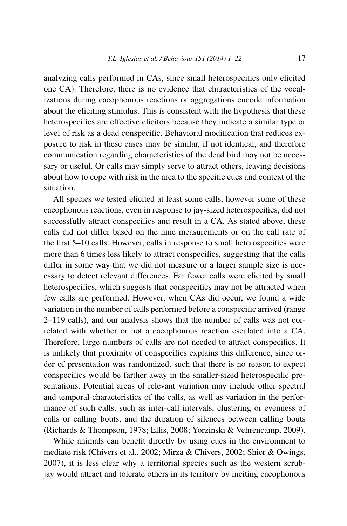analyzing calls performed in CAs, since small heterospecifics only elicited one CA). Therefore, there is no evidence that characteristics of the vocalizations during cacophonous reactions or aggregations encode information about the eliciting stimulus. This is consistent with the hypothesis that these heterospecifics are effective elicitors because they indicate a similar type or level of risk as a dead conspecific. Behavioral modification that reduces exposure to risk in these cases may be similar, if not identical, and therefore communication regarding characteristics of the dead bird may not be necessary or useful. Or calls may simply serve to attract others, leaving decisions about how to cope with risk in the area to the specific cues and context of the situation.

All species we tested elicited at least some calls, however some of these cacophonous reactions, even in response to jay-sized heterospecifics, did not successfully attract conspecifics and result in a CA. As stated above, these calls did not differ based on the nine measurements or on the call rate of the first 5–10 calls. However, calls in response to small heterospecifics were more than 6 times less likely to attract conspecifics, suggesting that the calls differ in some way that we did not measure or a larger sample size is necessary to detect relevant differences. Far fewer calls were elicited by small heterospecifics, which suggests that conspecifics may not be attracted when few calls are performed. However, when CAs did occur, we found a wide variation in the number of calls performed before a conspecific arrived (range 2–119 calls), and our analysis shows that the number of calls was not correlated with whether or not a cacophonous reaction escalated into a CA. Therefore, large numbers of calls are not needed to attract conspecifics. It is unlikely that proximity of conspecifics explains this difference, since order of presentation was randomized, such that there is no reason to expect conspecifics would be farther away in the smaller-sized heterospecific presentations. Potential areas of relevant variation may include other spectral and temporal characteristics of the calls, as well as variation in the performance of such calls, such as inter-call intervals, clustering or evenness of calls or calling bouts, and the duration of silences between calling bouts (Richards & Thompson, 1978; Ellis, 2008; Yorzinski & Vehrencamp, 2009).

While animals can benefit directly by using cues in the environment to mediate risk (Chivers et al., 2002; Mirza & Chivers, 2002; Shier & Owings, 2007), it is less clear why a territorial species such as the western scrubjay would attract and tolerate others in its territory by inciting cacophonous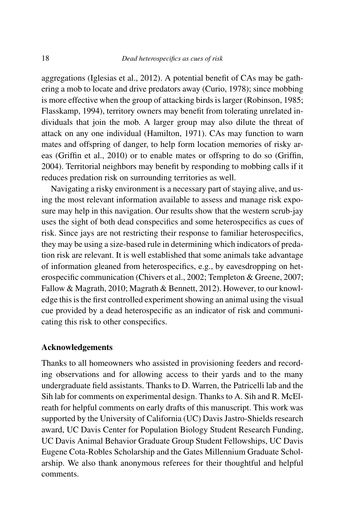aggregations (Iglesias et al., 2012). A potential benefit of CAs may be gathering a mob to locate and drive predators away (Curio, 1978); since mobbing is more effective when the group of attacking birds is larger (Robinson, 1985; Flasskamp, 1994), territory owners may benefit from tolerating unrelated individuals that join the mob. A larger group may also dilute the threat of attack on any one individual (Hamilton, 1971). CAs may function to warn mates and offspring of danger, to help form location memories of risky areas (Griffin et al., 2010) or to enable mates or offspring to do so (Griffin, 2004). Territorial neighbors may benefit by responding to mobbing calls if it reduces predation risk on surrounding territories as well.

Navigating a risky environment is a necessary part of staying alive, and using the most relevant information available to assess and manage risk exposure may help in this navigation. Our results show that the western scrub-jay uses the sight of both dead conspecifics and some heterospecifics as cues of risk. Since jays are not restricting their response to familiar heterospecifics, they may be using a size-based rule in determining which indicators of predation risk are relevant. It is well established that some animals take advantage of information gleaned from heterospecifics, e.g., by eavesdropping on heterospecific communication (Chivers et al., 2002; Templeton & Greene, 2007; Fallow & Magrath, 2010; Magrath & Bennett, 2012). However, to our knowledge this is the first controlled experiment showing an animal using the visual cue provided by a dead heterospecific as an indicator of risk and communicating this risk to other conspecifics.

#### **Acknowledgements**

Thanks to all homeowners who assisted in provisioning feeders and recording observations and for allowing access to their yards and to the many undergraduate field assistants. Thanks to D. Warren, the Patricelli lab and the Sih lab for comments on experimental design. Thanks to A. Sih and R. McElreath for helpful comments on early drafts of this manuscript. This work was supported by the University of California (UC) Davis Jastro-Shields research award, UC Davis Center for Population Biology Student Research Funding, UC Davis Animal Behavior Graduate Group Student Fellowships, UC Davis Eugene Cota-Robles Scholarship and the Gates Millennium Graduate Scholarship. We also thank anonymous referees for their thoughtful and helpful comments.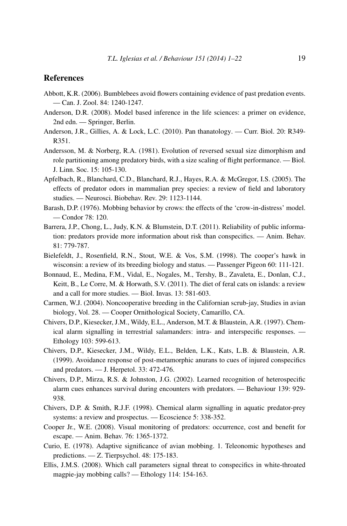#### **References**

- Abbott, K.R. (2006). Bumblebees avoid flowers containing evidence of past predation events. — Can. J. Zool. 84: 1240-1247.
- Anderson, D.R. (2008). Model based inference in the life sciences: a primer on evidence, 2nd edn. — Springer, Berlin.
- Anderson, J.R., Gillies, A. & Lock, L.C. (2010). Pan thanatology. Curr. Biol. 20: R349- R351.
- Andersson, M. & Norberg, R.A. (1981). Evolution of reversed sexual size dimorphism and role partitioning among predatory birds, with a size scaling of flight performance. — Biol. J. Linn. Soc. 15: 105-130.
- Apfelbach, R., Blanchard, C.D., Blanchard, R.J., Hayes, R.A. & McGregor, I.S. (2005). The effects of predator odors in mammalian prey species: a review of field and laboratory studies. — Neurosci. Biobehav. Rev. 29: 1123-1144.
- Barash, D.P. (1976). Mobbing behavior by crows: the effects of the 'crow-in-distress' model. — Condor 78: 120.
- Barrera, J.P., Chong, L., Judy, K.N. & Blumstein, D.T. (2011). Reliability of public information: predators provide more information about risk than conspecifics. — Anim. Behav. 81: 779-787.
- Bielefeldt, J., Rosenfield, R.N., Stout, W.E. & Vos, S.M. (1998). The cooper's hawk in wisconsin: a review of its breeding biology and status. — Passenger Pigeon 60: 111-121.
- Bonnaud, E., Medina, F.M., Vidal, E., Nogales, M., Tershy, B., Zavaleta, E., Donlan, C.J., Keitt, B., Le Corre, M. & Horwath, S.V. (2011). The diet of feral cats on islands: a review and a call for more studies. — Biol. Invas. 13: 581-603.
- Carmen, W.J. (2004). Noncooperative breeding in the Californian scrub-jay, Studies in avian biology, Vol. 28. — Cooper Ornithological Society, Camarillo, CA.
- Chivers, D.P., Kiesecker, J.M., Wildy, E.L., Anderson, M.T. & Blaustein, A.R. (1997). Chemical alarm signalling in terrestrial salamanders: intra- and interspecific responses. — Ethology 103: 599-613.
- Chivers, D.P., Kiesecker, J.M., Wildy, E.L., Belden, L.K., Kats, L.B. & Blaustein, A.R. (1999). Avoidance response of post-metamorphic anurans to cues of injured conspecifics and predators. — J. Herpetol. 33: 472-476.
- Chivers, D.P., Mirza, R.S. & Johnston, J.G. (2002). Learned recognition of heterospecific alarm cues enhances survival during encounters with predators. — Behaviour 139: 929- 938.
- Chivers, D.P. & Smith, R.J.F. (1998). Chemical alarm signalling in aquatic predator-prey systems: a review and prospectus. — Ecoscience 5: 338-352.
- Cooper Jr., W.E. (2008). Visual monitoring of predators: occurrence, cost and benefit for escape. — Anim. Behav. 76: 1365-1372.
- Curio, E. (1978). Adaptive significance of avian mobbing. 1. Teleonomic hypotheses and predictions. — Z. Tierpsychol. 48: 175-183.
- Ellis, J.M.S. (2008). Which call parameters signal threat to conspecifics in white-throated magpie-jay mobbing calls? — Ethology 114: 154-163.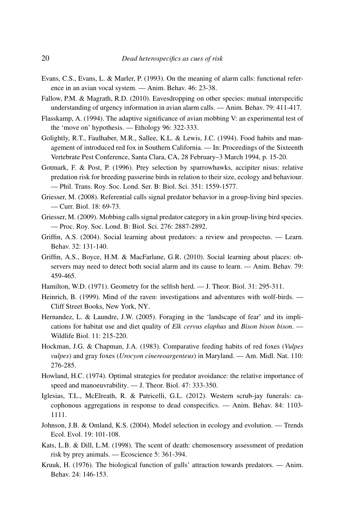- Evans, C.S., Evans, L. & Marler, P. (1993). On the meaning of alarm calls: functional reference in an avian vocal system. — Anim. Behav. 46: 23-38.
- Fallow, P.M. & Magrath, R.D. (2010). Eavesdropping on other species: mutual interspecific understanding of urgency information in avian alarm calls. — Anim. Behav. 79: 411-417.
- Flasskamp, A. (1994). The adaptive significance of avian mobbing V: an experimental test of the 'move on' hypothesis. — Ethology 96: 322-333.
- Golightly, R.T., Faulhaber, M.R., Sallee, K.L. & Lewis, J.C. (1994). Food habits and management of introduced red fox in Southern California. — In: Proceedings of the Sixteenth Vertebrate Pest Conference, Santa Clara, CA, 28 February–3 March 1994, p. 15-20.
- Gotmark, F. & Post, P. (1996). Prey selection by sparrowhawks, accipiter nisus: relative predation risk for breeding passerine birds in relation to their size, ecology and behaviour. — Phil. Trans. Roy. Soc. Lond. Ser. B: Biol. Sci. 351: 1559-1577.
- Griesser, M. (2008). Referential calls signal predator behavior in a group-living bird species. — Curr. Biol. 18: 69-73.
- Griesser, M. (2009). Mobbing calls signal predator category in a kin group-living bird species. — Proc. Roy. Soc. Lond. B: Biol. Sci. 276: 2887-2892.
- Griffin, A.S. (2004). Social learning about predators: a review and prospectus. Learn. Behav. 32: 131-140.
- Griffin, A.S., Boyce, H.M. & MacFarlane, G.R. (2010). Social learning about places: observers may need to detect both social alarm and its cause to learn. — Anim. Behav. 79: 459-465.
- Hamilton, W.D. (1971). Geometry for the selfish herd. J. Theor. Biol. 31: 295-311.
- Heinrich, B. (1999). Mind of the raven: investigations and adventures with wolf-birds. Cliff Street Books, New York, NY.
- Hernandez, L. & Laundre, J.W. (2005). Foraging in the 'landscape of fear' and its implications for habitat use and diet quality of *Elk cervus elaphus* and *Bison bison bison*. — Wildlife Biol. 11: 215-220.
- Hockman, J.G. & Chapman, J.A. (1983). Comparative feeding habits of red foxes (*Vulpes vulpes*) and gray foxes (*Urocyon cinereoargenteus*) in Maryland. — Am. Midl. Nat. 110: 276-285.
- Howland, H.C. (1974). Optimal strategies for predator avoidance: the relative importance of speed and manoeuvrability. — J. Theor. Biol. 47: 333-350.
- Iglesias, T.L., McElreath, R. & Patricelli, G.L. (2012). Western scrub-jay funerals: cacophonous aggregations in response to dead conspecifics. — Anim. Behav. 84: 1103- 1111.
- Johnson, J.B. & Omland, K.S. (2004). Model selection in ecology and evolution. Trends Ecol. Evol. 19: 101-108.
- Kats, L.B. & Dill, L.M. (1998). The scent of death: chemosensory assessment of predation risk by prey animals. — Ecoscience 5: 361-394.
- Kruuk, H. (1976). The biological function of gulls' attraction towards predators. Anim. Behav. 24: 146-153.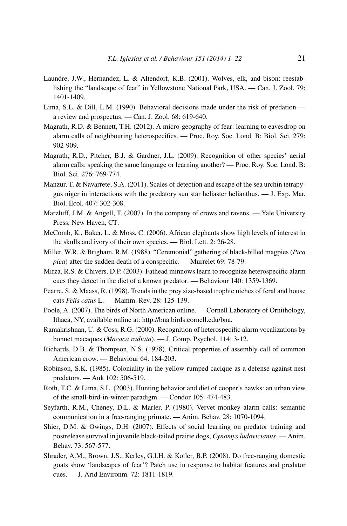- Laundre, J.W., Hernandez, L. & Altendorf, K.B. (2001). Wolves, elk, and bison: reestablishing the "landscape of fear" in Yellowstone National Park, USA. — Can. J. Zool. 79: 1401-1409.
- Lima, S.L. & Dill, L.M. (1990). Behavioral decisions made under the risk of predation a review and prospectus. — Can. J. Zool. 68: 619-640.
- Magrath, R.D. & Bennett, T.H. (2012). A micro-geography of fear: learning to eavesdrop on alarm calls of neighbouring heterospecifics. — Proc. Roy. Soc. Lond. B: Biol. Sci. 279: 902-909.
- Magrath, R.D., Pitcher, B.J. & Gardner, J.L. (2009). Recognition of other species' aerial alarm calls: speaking the same language or learning another? — Proc. Roy. Soc. Lond. B: Biol. Sci. 276: 769-774.
- Manzur, T. & Navarrete, S.A. (2011). Scales of detection and escape of the sea urchin tetrapygus niger in interactions with the predatory sun star heliaster helianthus. — J. Exp. Mar. Biol. Ecol. 407: 302-308.
- Marzluff, J.M. & Angell, T. (2007). In the company of crows and ravens. Yale University Press, New Haven, CT.
- McComb, K., Baker, L. & Moss, C. (2006). African elephants show high levels of interest in the skulls and ivory of their own species. — Biol. Lett. 2: 26-28.
- Miller, W.R. & Brigham, R.M. (1988). "Ceremonial" gathering of black-billed magpies (*Pica pica*) after the sudden death of a conspecific. — Murrelet 69: 78-79.
- Mirza, R.S. & Chivers, D.P. (2003). Fathead minnows learn to recognize heterospecific alarm cues they detect in the diet of a known predator. — Behaviour 140: 1359-1369.
- Pearre, S. & Maass, R. (1998). Trends in the prey size-based trophic niches of feral and house cats *Felis catus* L. — Mamm. Rev. 28: 125-139.
- Poole, A. (2007). The birds of North American online. Cornell Laboratory of Ornithology, Ithaca, NY, available online at: http://bna.birds.cornell.edu/bna.
- Ramakrishnan, U. & Coss, R.G. (2000). Recognition of heterospecific alarm vocalizations by bonnet macaques (*Macaca radiata*). — J. Comp. Psychol. 114: 3-12.
- Richards, D.B. & Thompson, N.S. (1978). Critical properties of assembly call of common American crow. — Behaviour 64: 184-203.
- Robinson, S.K. (1985). Coloniality in the yellow-rumped cacique as a defense against nest predators. — Auk 102: 506-519.
- Roth, T.C. & Lima, S.L. (2003). Hunting behavior and diet of cooper's hawks: an urban view of the small-bird-in-winter paradigm. — Condor 105: 474-483.
- Seyfarth, R.M., Cheney, D.L. & Marler, P. (1980). Vervet monkey alarm calls: semantic communication in a free-ranging primate. — Anim. Behav. 28: 1070-1094.
- Shier, D.M. & Owings, D.H. (2007). Effects of social learning on predator training and postrelease survival in juvenile black-tailed prairie dogs, *Cynomys ludovicianus*. — Anim. Behav. 73: 567-577.
- Shrader, A.M., Brown, J.S., Kerley, G.I.H. & Kotler, B.P. (2008). Do free-ranging domestic goats show 'landscapes of fear'? Patch use in response to habitat features and predator cues. — J. Arid Environm. 72: 1811-1819.